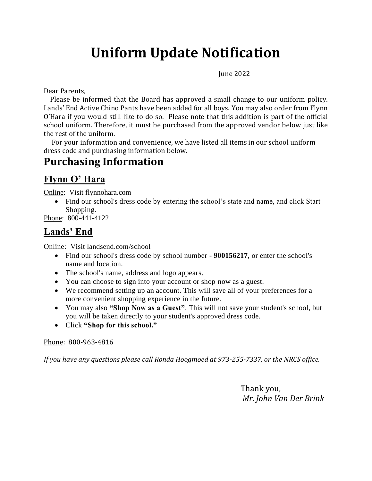# **Uniform Update Notification**

June 2022

Dear Parents,

 Please be informed that the Board has approved a small change to our uniform policy. Lands' End Active Chino Pants have been added for all boys. You may also order from Flynn O'Hara if you would still like to do so. Please note that this addition is part of the official school uniform. Therefore, it must be purchased from the approved vendor below just like the rest of the uniform.

 For your information and convenience, we have listed all items in our school uniform dress code and purchasing information below.

## **Purchasing Information**

#### **Flynn O' Hara**

Online: Visit flynnohara.com

• Find our school's dress code by entering the school's state and name, and click Start Shopping.

Phone: 800-441-4122

#### **Lands' End**

Online: Visit landsend.com/school

- Find our school's dress code by school number **900156217**, or enter the school's name and location.
- The school's name, address and logo appears.
- You can choose to sign into your account or shop now as a guest.
- We recommend setting up an account. This will save all of your preferences for a more convenient shopping experience in the future.
- You may also **"Shop Now as a Guest"**. This will not save your student's school, but you will be taken directly to your student's approved dress code.
- Click **"Shop for this school."**

Phone: 800-963-4816

*If you have any questions please call Ronda Hoogmoed at 973-255-7337, or the NRCS office.* 

Thank you, *Mr. John Van Der Brink*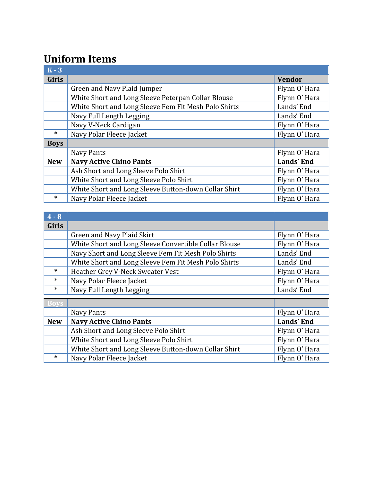# **Uniform Items**

| $K - 3$      |                                                      |               |
|--------------|------------------------------------------------------|---------------|
| <b>Girls</b> |                                                      | <b>Vendor</b> |
|              | Green and Navy Plaid Jumper                          | Flynn O' Hara |
|              | White Short and Long Sleeve Peterpan Collar Blouse   | Flynn O' Hara |
|              | White Short and Long Sleeve Fem Fit Mesh Polo Shirts | Lands' End    |
|              | Navy Full Length Legging                             | Lands' End    |
|              | Navy V-Neck Cardigan                                 | Flynn O' Hara |
| $\ast$       | Navy Polar Fleece Jacket                             | Flynn O' Hara |
| <b>Boys</b>  |                                                      |               |
|              | Navy Pants                                           | Flynn O' Hara |
| <b>New</b>   | <b>Navy Active Chino Pants</b>                       | Lands' End    |
|              | Ash Short and Long Sleeve Polo Shirt                 | Flynn O' Hara |
|              | White Short and Long Sleeve Polo Shirt               | Flynn O' Hara |
|              | White Short and Long Sleeve Button-down Collar Shirt | Flynn O' Hara |
| *            | Navy Polar Fleece Jacket                             | Flynn O' Hara |

| $4 - 8$      |                                                       |               |
|--------------|-------------------------------------------------------|---------------|
| <b>Girls</b> |                                                       |               |
|              | Green and Navy Plaid Skirt                            | Flynn O' Hara |
|              | White Short and Long Sleeve Convertible Collar Blouse | Flynn O' Hara |
|              | Navy Short and Long Sleeve Fem Fit Mesh Polo Shirts   | Lands' End    |
|              | White Short and Long Sleeve Fem Fit Mesh Polo Shirts  | Lands' End    |
| $\ast$       | Heather Grey V-Neck Sweater Vest                      | Flynn O' Hara |
| $\ast$       | Navy Polar Fleece Jacket                              | Flynn O' Hara |
| $\ast$       | Navy Full Length Legging                              | Lands' End    |
| <b>Boys</b>  |                                                       |               |
|              | Navy Pants                                            | Flynn O' Hara |
| <b>New</b>   | <b>Navy Active Chino Pants</b>                        | Lands' End    |
|              | Ash Short and Long Sleeve Polo Shirt                  | Flynn O' Hara |
|              | White Short and Long Sleeve Polo Shirt                | Flynn O' Hara |

White Short and Long Sleeve Button-down Collar Shirt Flynn O' Hara \* Navy Polar Fleece Jacket Flynn O' Hara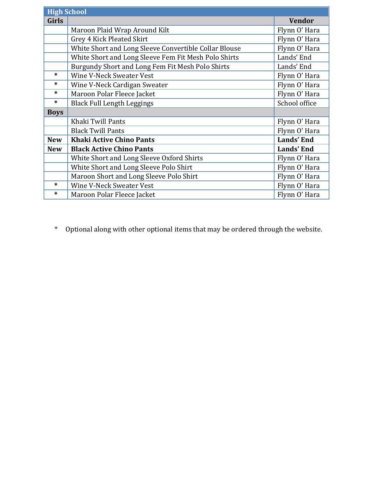| <b>High School</b> |                                                       |               |  |
|--------------------|-------------------------------------------------------|---------------|--|
| <b>Girls</b>       |                                                       | <b>Vendor</b> |  |
|                    | Maroon Plaid Wrap Around Kilt                         | Flynn O' Hara |  |
|                    | Grey 4 Kick Pleated Skirt                             | Flynn O' Hara |  |
|                    | White Short and Long Sleeve Convertible Collar Blouse | Flynn O' Hara |  |
|                    | White Short and Long Sleeve Fem Fit Mesh Polo Shirts  | Lands' End    |  |
|                    | Burgundy Short and Long Fem Fit Mesh Polo Shirts      | Lands' End    |  |
| $\ast$             | <b>Wine V-Neck Sweater Vest</b>                       | Flynn O' Hara |  |
| *                  | Wine V-Neck Cardigan Sweater                          | Flynn O' Hara |  |
| *                  | Maroon Polar Fleece Jacket                            | Flynn O' Hara |  |
| $\ast$             | <b>Black Full Length Leggings</b>                     | School office |  |
| <b>Boys</b>        |                                                       |               |  |
|                    | Khaki Twill Pants                                     | Flynn O' Hara |  |
|                    | <b>Black Twill Pants</b>                              | Flynn O' Hara |  |
| <b>New</b>         | <b>Khaki Active Chino Pants</b>                       | Lands' End    |  |
| <b>New</b>         | <b>Black Active Chino Pants</b>                       | Lands' End    |  |
|                    | White Short and Long Sleeve Oxford Shirts             | Flynn O' Hara |  |
|                    | White Short and Long Sleeve Polo Shirt                | Flynn O' Hara |  |
|                    | Maroon Short and Long Sleeve Polo Shirt               | Flynn O' Hara |  |
| $\ast$             | Wine V-Neck Sweater Vest                              | Flynn O' Hara |  |
| *                  | Maroon Polar Fleece Jacket                            | Flynn O' Hara |  |

\* Optional along with other optional items that may be ordered through the website.